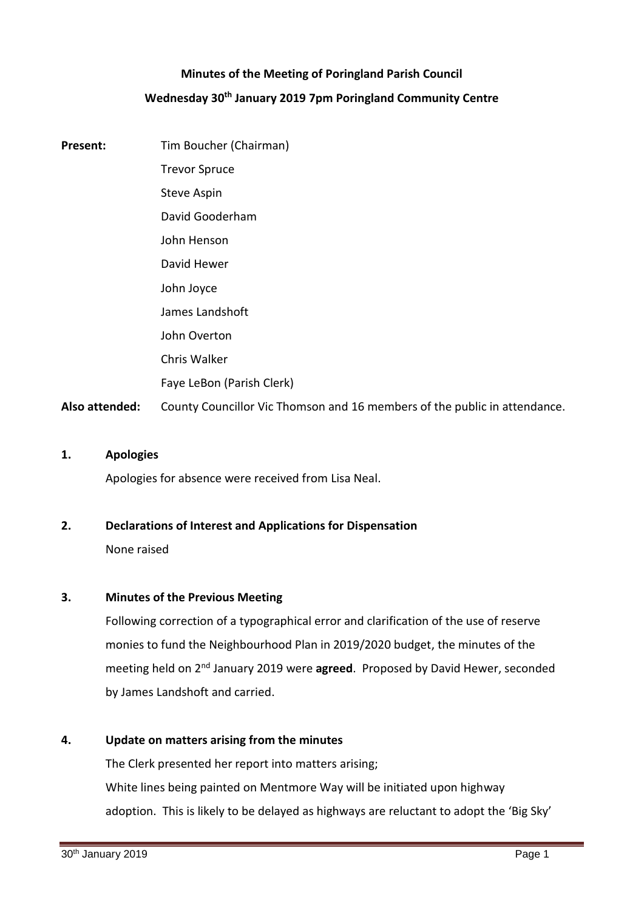## **Minutes of the Meeting of Poringland Parish Council**

# **Wednesday 30th January 2019 7pm Poringland Community Centre**

**Present:** Tim Boucher (Chairman) Trevor Spruce Steve Aspin David Gooderham John Henson David Hewer John Joyce James Landshoft John Overton Chris Walker Faye LeBon (Parish Clerk)

**Also attended:** County Councillor Vic Thomson and 16 members of the public in attendance.

**1. Apologies**

Apologies for absence were received from Lisa Neal.

# **2. Declarations of Interest and Applications for Dispensation**

None raised

### **3. Minutes of the Previous Meeting**

Following correction of a typographical error and clarification of the use of reserve monies to fund the Neighbourhood Plan in 2019/2020 budget, the minutes of the meeting held on 2<sup>nd</sup> January 2019 were **agreed**. Proposed by David Hewer, seconded by James Landshoft and carried.

# **4. Update on matters arising from the minutes**

The Clerk presented her report into matters arising; White lines being painted on Mentmore Way will be initiated upon highway adoption. This is likely to be delayed as highways are reluctant to adopt the 'Big Sky'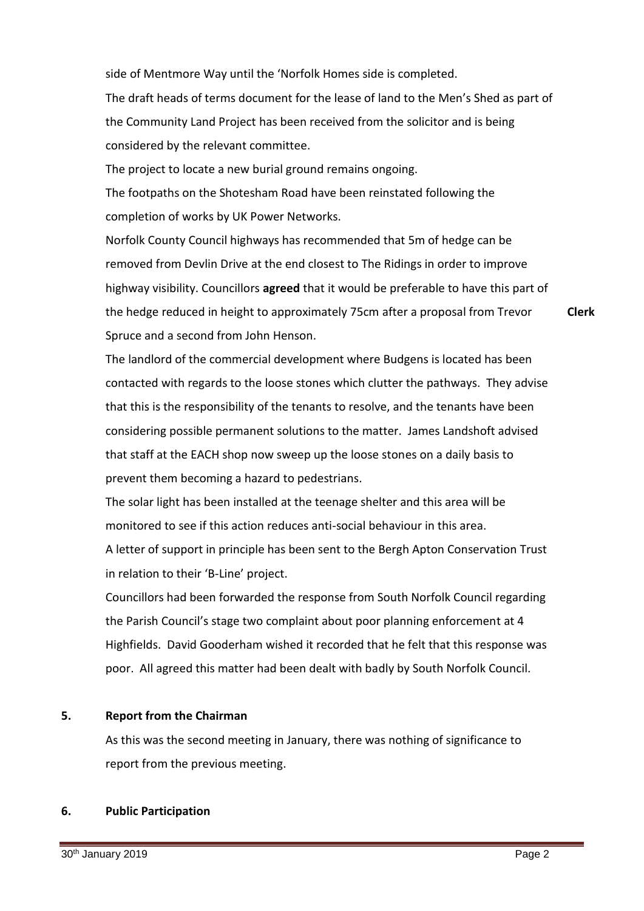side of Mentmore Way until the 'Norfolk Homes side is completed.

The draft heads of terms document for the lease of land to the Men's Shed as part of the Community Land Project has been received from the solicitor and is being considered by the relevant committee.

The project to locate a new burial ground remains ongoing.

The footpaths on the Shotesham Road have been reinstated following the completion of works by UK Power Networks.

Norfolk County Council highways has recommended that 5m of hedge can be removed from Devlin Drive at the end closest to The Ridings in order to improve highway visibility. Councillors **agreed** that it would be preferable to have this part of the hedge reduced in height to approximately 75cm after a proposal from Trevor Spruce and a second from John Henson.

**Clerk**

The landlord of the commercial development where Budgens is located has been contacted with regards to the loose stones which clutter the pathways. They advise that this is the responsibility of the tenants to resolve, and the tenants have been considering possible permanent solutions to the matter. James Landshoft advised that staff at the EACH shop now sweep up the loose stones on a daily basis to prevent them becoming a hazard to pedestrians.

The solar light has been installed at the teenage shelter and this area will be monitored to see if this action reduces anti-social behaviour in this area.

A letter of support in principle has been sent to the Bergh Apton Conservation Trust in relation to their 'B-Line' project.

Councillors had been forwarded the response from South Norfolk Council regarding the Parish Council's stage two complaint about poor planning enforcement at 4 Highfields. David Gooderham wished it recorded that he felt that this response was poor. All agreed this matter had been dealt with badly by South Norfolk Council.

# **5. Report from the Chairman**

As this was the second meeting in January, there was nothing of significance to report from the previous meeting.

### **6. Public Participation**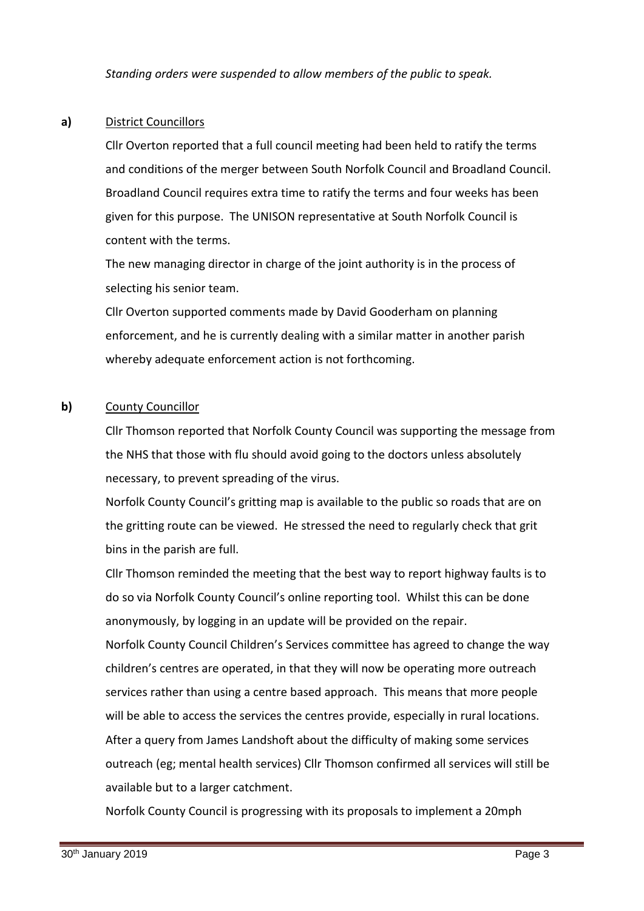*Standing orders were suspended to allow members of the public to speak.*

## **a)** District Councillors

Cllr Overton reported that a full council meeting had been held to ratify the terms and conditions of the merger between South Norfolk Council and Broadland Council. Broadland Council requires extra time to ratify the terms and four weeks has been given for this purpose. The UNISON representative at South Norfolk Council is content with the terms.

The new managing director in charge of the joint authority is in the process of selecting his senior team.

Cllr Overton supported comments made by David Gooderham on planning enforcement, and he is currently dealing with a similar matter in another parish whereby adequate enforcement action is not forthcoming.

### **b)** County Councillor

Cllr Thomson reported that Norfolk County Council was supporting the message from the NHS that those with flu should avoid going to the doctors unless absolutely necessary, to prevent spreading of the virus.

Norfolk County Council's gritting map is available to the public so roads that are on the gritting route can be viewed. He stressed the need to regularly check that grit bins in the parish are full.

Cllr Thomson reminded the meeting that the best way to report highway faults is to do so via Norfolk County Council's online reporting tool. Whilst this can be done anonymously, by logging in an update will be provided on the repair.

Norfolk County Council Children's Services committee has agreed to change the way children's centres are operated, in that they will now be operating more outreach services rather than using a centre based approach. This means that more people will be able to access the services the centres provide, especially in rural locations. After a query from James Landshoft about the difficulty of making some services outreach (eg; mental health services) Cllr Thomson confirmed all services will still be available but to a larger catchment.

Norfolk County Council is progressing with its proposals to implement a 20mph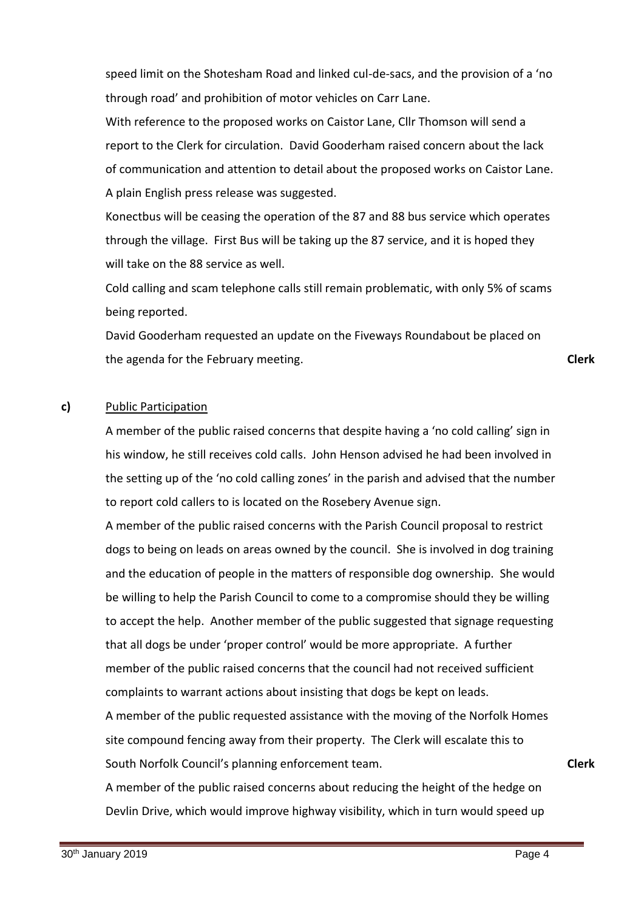speed limit on the Shotesham Road and linked cul-de-sacs, and the provision of a 'no through road' and prohibition of motor vehicles on Carr Lane.

With reference to the proposed works on Caistor Lane, Cllr Thomson will send a report to the Clerk for circulation. David Gooderham raised concern about the lack of communication and attention to detail about the proposed works on Caistor Lane. A plain English press release was suggested.

Konectbus will be ceasing the operation of the 87 and 88 bus service which operates through the village. First Bus will be taking up the 87 service, and it is hoped they will take on the 88 service as well.

Cold calling and scam telephone calls still remain problematic, with only 5% of scams being reported.

David Gooderham requested an update on the Fiveways Roundabout be placed on the agenda for the February meeting. **Clerk**

### **c)** Public Participation

A member of the public raised concerns that despite having a 'no cold calling' sign in his window, he still receives cold calls. John Henson advised he had been involved in the setting up of the 'no cold calling zones' in the parish and advised that the number to report cold callers to is located on the Rosebery Avenue sign.

A member of the public raised concerns with the Parish Council proposal to restrict dogs to being on leads on areas owned by the council. She is involved in dog training and the education of people in the matters of responsible dog ownership. She would be willing to help the Parish Council to come to a compromise should they be willing to accept the help. Another member of the public suggested that signage requesting that all dogs be under 'proper control' would be more appropriate. A further member of the public raised concerns that the council had not received sufficient complaints to warrant actions about insisting that dogs be kept on leads.

A member of the public requested assistance with the moving of the Norfolk Homes site compound fencing away from their property. The Clerk will escalate this to South Norfolk Council's planning enforcement team.

**Clerk**

A member of the public raised concerns about reducing the height of the hedge on Devlin Drive, which would improve highway visibility, which in turn would speed up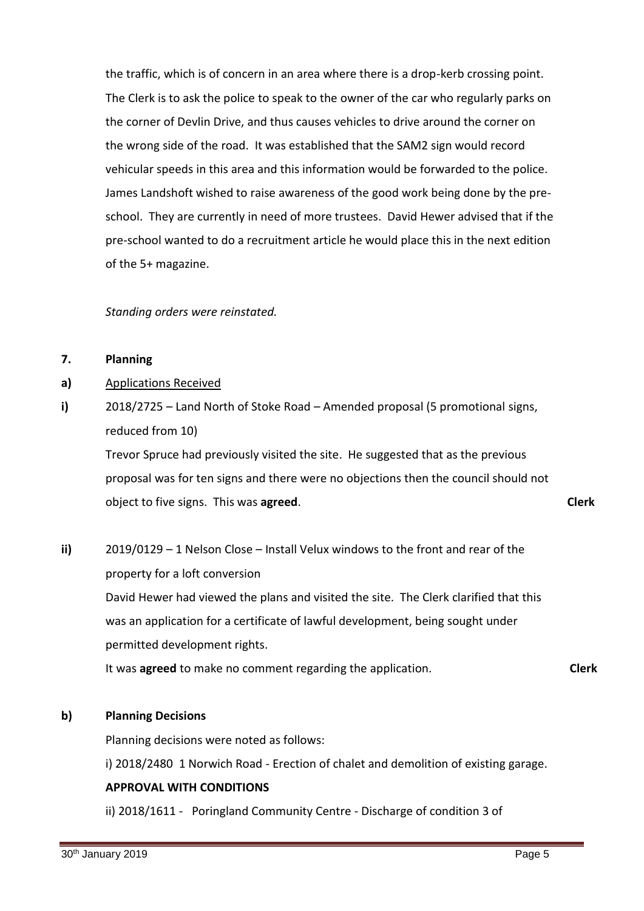the traffic, which is of concern in an area where there is a drop-kerb crossing point. The Clerk is to ask the police to speak to the owner of the car who regularly parks on the corner of Devlin Drive, and thus causes vehicles to drive around the corner on the wrong side of the road. It was established that the SAM2 sign would record vehicular speeds in this area and this information would be forwarded to the police. James Landshoft wished to raise awareness of the good work being done by the preschool. They are currently in need of more trustees. David Hewer advised that if the pre-school wanted to do a recruitment article he would place this in the next edition of the 5+ magazine.

### *Standing orders were reinstated.*

#### **7. Planning**

- **a)** Applications Received
- **i)** 2018/2725 – Land North of Stoke Road – Amended proposal (5 promotional signs, reduced from 10)

Trevor Spruce had previously visited the site. He suggested that as the previous proposal was for ten signs and there were no objections then the council should not object to five signs. This was **agreed**.

**Clerk**

# **ii)** 2019/0129 – 1 Nelson Close – Install Velux windows to the front and rear of the property for a loft conversion David Hewer had viewed the plans and visited the site. The Clerk clarified that this was an application for a certificate of lawful development, being sought under permitted development rights. It was **agreed** to make no comment regarding the application.

# **Clerk**

# **b) Planning Decisions**

Planning decisions were noted as follows:

i) 2018/2480 1 Norwich Road - Erection of chalet and demolition of existing garage.

# **APPROVAL WITH CONDITIONS**

ii) 2018/1611 - Poringland Community Centre - Discharge of condition 3 of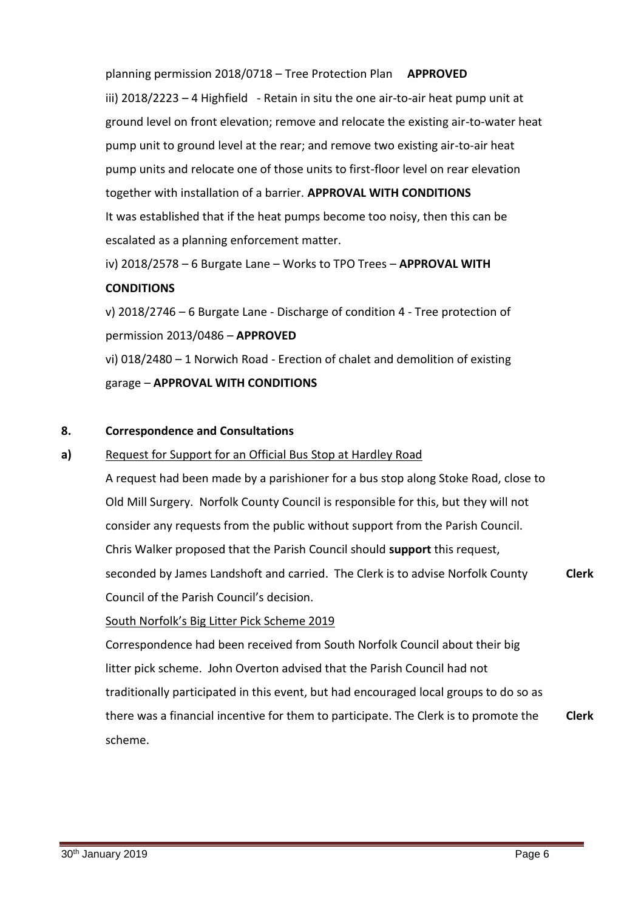planning permission 2018/0718 – Tree Protection Plan **APPROVED** iii) 2018/2223 - 4 Highfield - Retain in situ the one air-to-air heat pump unit at ground level on front elevation; remove and relocate the existing air-to-water heat pump unit to ground level at the rear; and remove two existing air-to-air heat pump units and relocate one of those units to first-floor level on rear elevation together with installation of a barrier. **APPROVAL WITH CONDITIONS** It was established that if the heat pumps become too noisy, then this can be escalated as a planning enforcement matter.

iv) 2018/2578 – 6 Burgate Lane – Works to TPO Trees – **APPROVAL WITH CONDITIONS**

v) 2018/2746 – 6 Burgate Lane - Discharge of condition 4 - Tree protection of permission 2013/0486 – **APPROVED** vi) 018/2480 – 1 Norwich Road - Erection of chalet and demolition of existing garage – **APPROVAL WITH CONDITIONS**

#### **8. Correspondence and Consultations**

#### **a)** Request for Support for an Official Bus Stop at Hardley Road

A request had been made by a parishioner for a bus stop along Stoke Road, close to Old Mill Surgery. Norfolk County Council is responsible for this, but they will not consider any requests from the public without support from the Parish Council. Chris Walker proposed that the Parish Council should **support** this request, seconded by James Landshoft and carried. The Clerk is to advise Norfolk County Council of the Parish Council's decision. **Clerk**

# South Norfolk's Big Litter Pick Scheme 2019

Correspondence had been received from South Norfolk Council about their big litter pick scheme. John Overton advised that the Parish Council had not traditionally participated in this event, but had encouraged local groups to do so as there was a financial incentive for them to participate. The Clerk is to promote the scheme. **Clerk**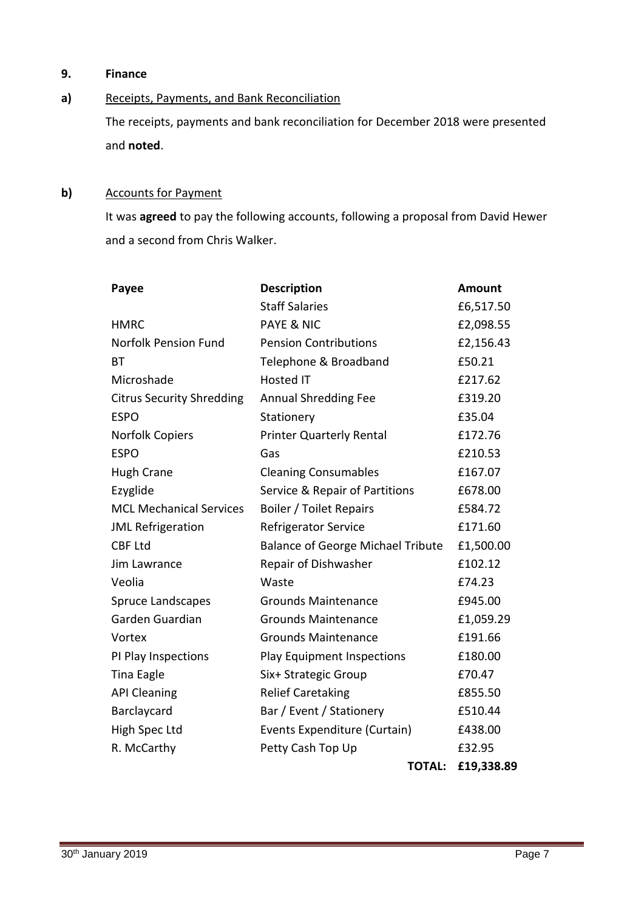#### **9. Finance**

#### **a)** Receipts, Payments, and Bank Reconciliation

The receipts, payments and bank reconciliation for December 2018 were presented and **noted**.

## **b)** Accounts for Payment

It was **agreed** to pay the following accounts, following a proposal from David Hewer and a second from Chris Walker.

| Payee                            | <b>Description</b>                       | <b>Amount</b> |
|----------------------------------|------------------------------------------|---------------|
|                                  | <b>Staff Salaries</b>                    | £6,517.50     |
| <b>HMRC</b>                      | <b>PAYE &amp; NIC</b>                    | £2,098.55     |
| <b>Norfolk Pension Fund</b>      | <b>Pension Contributions</b>             | £2,156.43     |
| BT                               | Telephone & Broadband                    | £50.21        |
| Microshade                       | <b>Hosted IT</b>                         | £217.62       |
| <b>Citrus Security Shredding</b> | <b>Annual Shredding Fee</b>              | £319.20       |
| <b>ESPO</b>                      | Stationery                               | £35.04        |
| <b>Norfolk Copiers</b>           | <b>Printer Quarterly Rental</b>          | £172.76       |
| <b>ESPO</b>                      | Gas                                      | £210.53       |
| <b>Hugh Crane</b>                | <b>Cleaning Consumables</b>              | £167.07       |
| Ezyglide                         | Service & Repair of Partitions           | £678.00       |
| <b>MCL Mechanical Services</b>   | <b>Boiler / Toilet Repairs</b>           | £584.72       |
| <b>JML Refrigeration</b>         | Refrigerator Service                     | £171.60       |
| <b>CBF Ltd</b>                   | <b>Balance of George Michael Tribute</b> | £1,500.00     |
| Jim Lawrance                     | Repair of Dishwasher                     | £102.12       |
| Veolia                           | Waste                                    | £74.23        |
| Spruce Landscapes                | <b>Grounds Maintenance</b>               | £945.00       |
| Garden Guardian                  | <b>Grounds Maintenance</b>               | £1,059.29     |
| Vortex                           | <b>Grounds Maintenance</b>               | £191.66       |
| PI Play Inspections              | Play Equipment Inspections               | £180.00       |
| Tina Eagle                       | Six+ Strategic Group                     | £70.47        |
| <b>API Cleaning</b>              | <b>Relief Caretaking</b>                 | £855.50       |
| Barclaycard                      | Bar / Event / Stationery                 | £510.44       |
| High Spec Ltd                    | Events Expenditure (Curtain)             | £438.00       |
| R. McCarthy                      | Petty Cash Top Up                        | £32.95        |
|                                  | <b>TOTAL:</b>                            | £19,338.89    |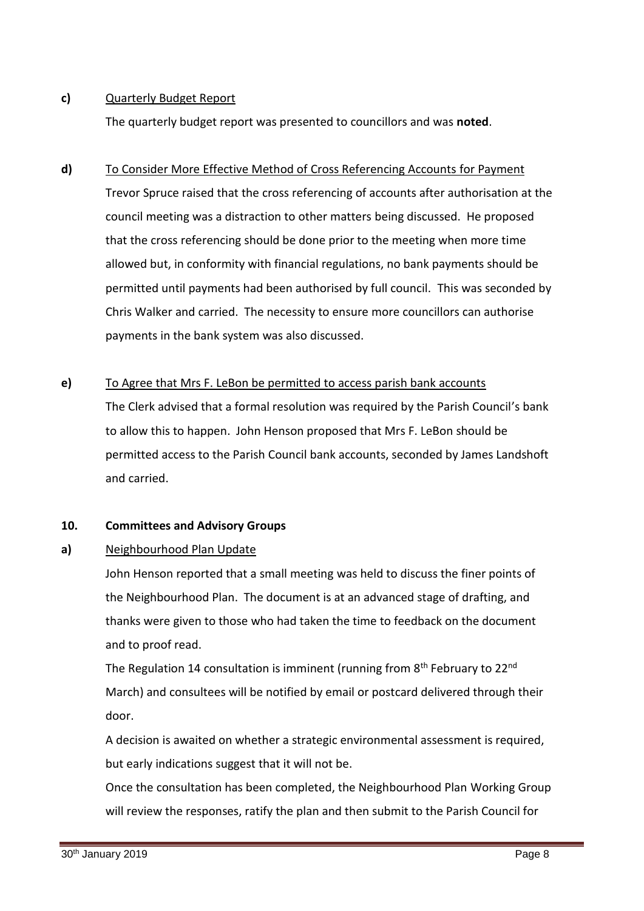#### **c)**  Quarterly Budget Report

The quarterly budget report was presented to councillors and was **noted**.

#### **d)**  To Consider More Effective Method of Cross Referencing Accounts for Payment

Trevor Spruce raised that the cross referencing of accounts after authorisation at the council meeting was a distraction to other matters being discussed. He proposed that the cross referencing should be done prior to the meeting when more time allowed but, in conformity with financial regulations, no bank payments should be permitted until payments had been authorised by full council. This was seconded by Chris Walker and carried. The necessity to ensure more councillors can authorise payments in the bank system was also discussed.

#### **e)**  To Agree that Mrs F. LeBon be permitted to access parish bank accounts

The Clerk advised that a formal resolution was required by the Parish Council's bank to allow this to happen. John Henson proposed that Mrs F. LeBon should be permitted access to the Parish Council bank accounts, seconded by James Landshoft and carried.

#### **10. Committees and Advisory Groups**

#### **a)** Neighbourhood Plan Update

John Henson reported that a small meeting was held to discuss the finer points of the Neighbourhood Plan. The document is at an advanced stage of drafting, and thanks were given to those who had taken the time to feedback on the document and to proof read.

The Regulation 14 consultation is imminent (running from  $8<sup>th</sup>$  February to 22<sup>nd</sup> March) and consultees will be notified by email or postcard delivered through their door.

A decision is awaited on whether a strategic environmental assessment is required, but early indications suggest that it will not be.

Once the consultation has been completed, the Neighbourhood Plan Working Group will review the responses, ratify the plan and then submit to the Parish Council for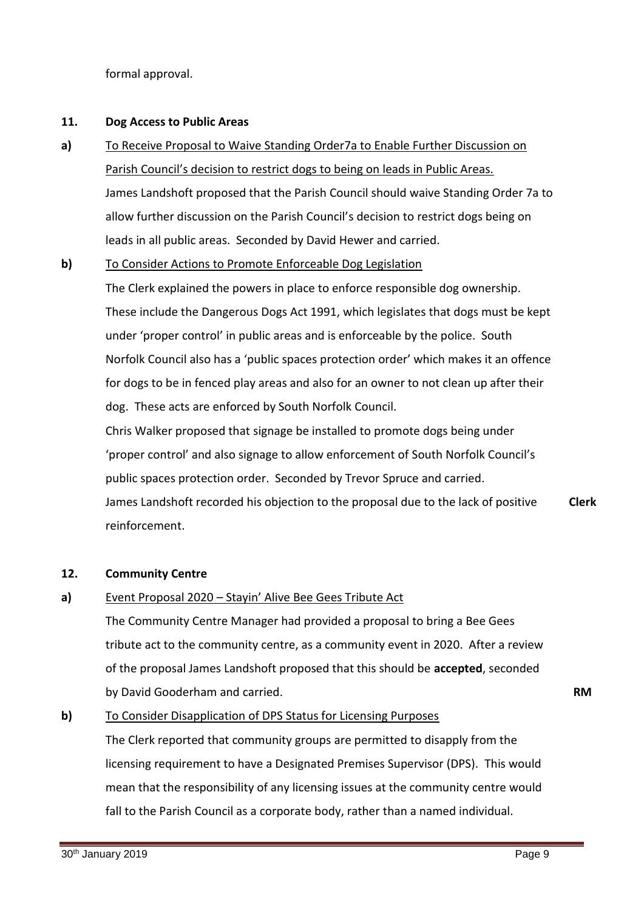formal approval.

#### **11. Dog Access to Public Areas**

**a)** To Receive Proposal to Waive Standing Order7a to Enable Further Discussion on Parish Council's decision to restrict dogs to being on leads in Public Areas. James Landshoft proposed that the Parish Council should waive Standing Order 7a to allow further discussion on the Parish Council's decision to restrict dogs being on leads in all public areas. Seconded by David Hewer and carried.

#### **b)**  To Consider Actions to Promote Enforceable Dog Legislation

The Clerk explained the powers in place to enforce responsible dog ownership. These include the Dangerous Dogs Act 1991, which legislates that dogs must be kept under 'proper control' in public areas and is enforceable by the police. South Norfolk Council also has a 'public spaces protection order' which makes it an offence for dogs to be in fenced play areas and also for an owner to not clean up after their dog. These acts are enforced by South Norfolk Council.

Chris Walker proposed that signage be installed to promote dogs being under 'proper control' and also signage to allow enforcement of South Norfolk Council's public spaces protection order. Seconded by Trevor Spruce and carried. James Landshoft recorded his objection to the proposal due to the lack of positive reinforcement. **Clerk**

#### **12. Community Centre**

#### **a)**  Event Proposal 2020 – Stayin' Alive Bee Gees Tribute Act

The Community Centre Manager had provided a proposal to bring a Bee Gees tribute act to the community centre, as a community event in 2020. After a review of the proposal James Landshoft proposed that this should be **accepted**, seconded by David Gooderham and carried.

#### **b)**  To Consider Disapplication of DPS Status for Licensing Purposes

The Clerk reported that community groups are permitted to disapply from the licensing requirement to have a Designated Premises Supervisor (DPS). This would mean that the responsibility of any licensing issues at the community centre would fall to the Parish Council as a corporate body, rather than a named individual.

**RM**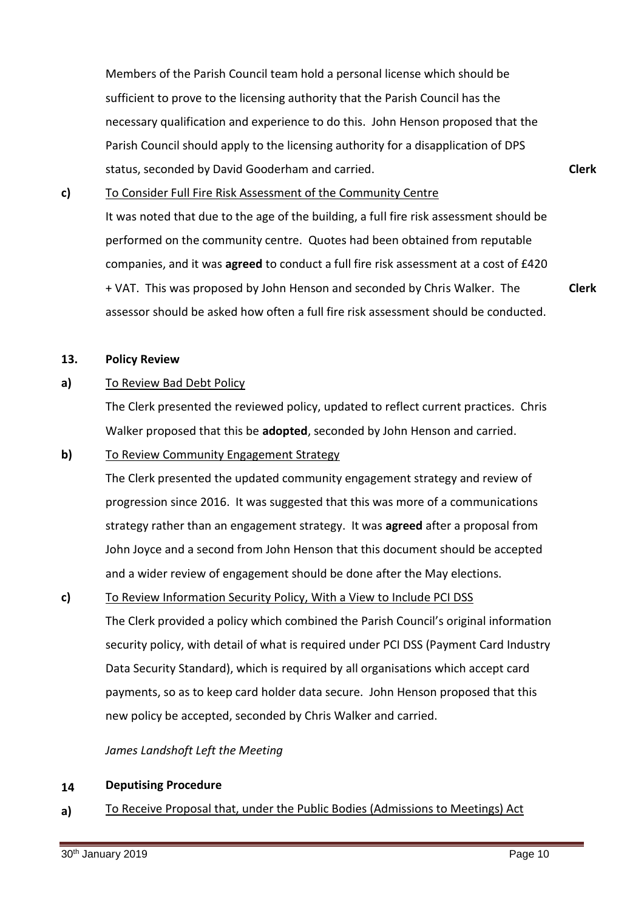Members of the Parish Council team hold a personal license which should be sufficient to prove to the licensing authority that the Parish Council has the necessary qualification and experience to do this. John Henson proposed that the Parish Council should apply to the licensing authority for a disapplication of DPS status, seconded by David Gooderham and carried.

#### **c)**  To Consider Full Fire Risk Assessment of the Community Centre

It was noted that due to the age of the building, a full fire risk assessment should be performed on the community centre. Quotes had been obtained from reputable companies, and it was **agreed** to conduct a full fire risk assessment at a cost of £420 + VAT. This was proposed by John Henson and seconded by Chris Walker. The assessor should be asked how often a full fire risk assessment should be conducted.

#### **13. Policy Review**

#### **a)**  To Review Bad Debt Policy

The Clerk presented the reviewed policy, updated to reflect current practices. Chris Walker proposed that this be **adopted**, seconded by John Henson and carried.

#### **b)**  To Review Community Engagement Strategy

The Clerk presented the updated community engagement strategy and review of progression since 2016. It was suggested that this was more of a communications strategy rather than an engagement strategy. It was **agreed** after a proposal from John Joyce and a second from John Henson that this document should be accepted and a wider review of engagement should be done after the May elections.

#### **c)**  To Review Information Security Policy, With a View to Include PCI DSS

The Clerk provided a policy which combined the Parish Council's original information security policy, with detail of what is required under PCI DSS (Payment Card Industry Data Security Standard), which is required by all organisations which accept card payments, so as to keep card holder data secure. John Henson proposed that this new policy be accepted, seconded by Chris Walker and carried.

### *James Landshoft Left the Meeting*

#### **14 Deputising Procedure**

**a)** To Receive Proposal that, under the Public Bodies (Admissions to Meetings) Act **Clerk**

**Clerk**